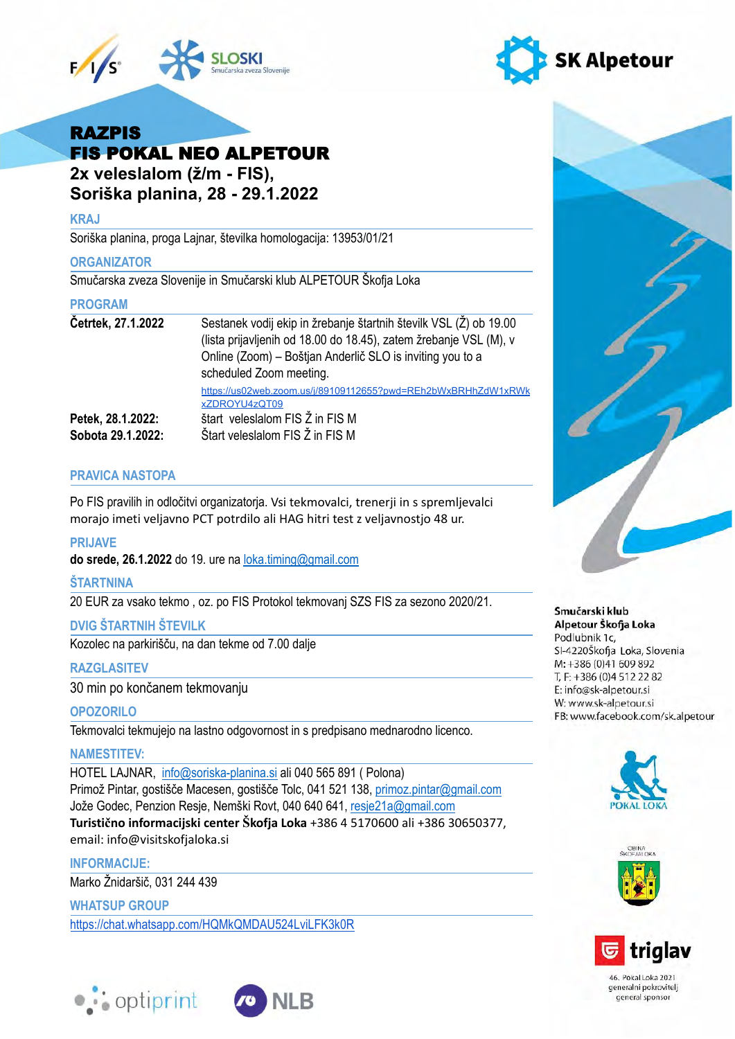



# RAZPIS FIS POKAL NEO ALPETOUR  **2x veleslalom (ž/m - FIS),**

 **Soriška planina, 28 - 29.1.2022** 

## **KRAJ**

Soriška planina, proga Lajnar, številka homologacija: 13953/01/21

## **ORGANIZATOR**

Smučarska zveza Slovenije in Smučarski klub ALPETOUR Škofja Loka

## **PROGRAM**

| Četrtek, 27.1.2022 | Sestanek vodij ekip in žrebanje štartnih številk VSL (Ž) ob 19.00<br>(lista prijavljenih od 18.00 do 18.45), zatem žrebanje VSL (M), v<br>Online (Zoom) – Boštjan Anderlič SLO is inviting you to a<br>scheduled Zoom meeting. |
|--------------------|--------------------------------------------------------------------------------------------------------------------------------------------------------------------------------------------------------------------------------|
|                    | https://us02web.zoom.us/j/89109112655?pwd=REh2bWxBRHhZdW1xRWk<br>xZDROYU4zQT09                                                                                                                                                 |
| Petek, 28.1.2022:  | štart veleslalom FIS Ž in FIS M                                                                                                                                                                                                |
| Sobota 29.1.2022:  | Štart veleslalom FIS Ž in FIS M                                                                                                                                                                                                |

## **PRAVICA NASTOPA**

 Po FIS pravilih in odločitvi organizatorja. Vsi tekmovalci, trenerji in s spremljevalci morajo imeti veljavno PCT potrdilo ali HAG hitri test z veljavnostjo 48 ur.

## **PRIJAVE**

 **do srede, 26.1.2022** do 19. ure na [loka.timing@gmail.com](mailto:loka.timing@gmail.com)

## **ŠTARTNINA**

20 EUR za vsako tekmo , oz. po FIS Protokol tekmovanj SZS FIS za sezono 2020/21.

## **DVIG ŠTARTNIH ŠTEVILK**

Kozolec na parkirišču, na dan tekme od 7.00 dalje

## **RAZGLASITEV**

30 min po končanem tekmovanju

## **OPOZORILO**

Tekmovalci tekmujejo na lastno odgovornost in s predpisano mednarodno licenco.

## **NAMESTITEV:**

 HOTEL LAJNAR, [info@soriska-planina.si](mailto:info@soriska-planina.si) ali 040 565 891 ( Polona) Primož Pintar, gostišče Macesen, gostišče Tolc, 041 521 138, [primoz.pintar@gmail.com](mailto:primoz.pintar@gmail.com)  Jože Godec, Penzion Resje, Nemški Rovt, 040 640 641, [resje21a@gmail.com](mailto:resje21a@gmail.com)  **Turistično informacijski center Škofja Loka** +386 4 5170600 ali +386 30650377, email: info@visitskofjaloka.si

## **INFORMACIJE:**

Marko Žnidaršič, 031 244 439

 **WHATSUP GROUP**  <https://chat.whatsapp.com/HQMkQMDAU524LviLFK3k0R>





Smučarski klub

#### Alpetour Škofja Loka Podlubnik 1c, SI-4220Škofja Loka, Slovenia M: +386 (0)41 609 892 T, F: +386 (0)4 512 22 82 E: info@sk-alpetour.si W: www.sk-alpetour.si FB: www.facebook.com/sk.alpetour







46. Pokal Loka 2021 generalni pokrovitelj general sponsor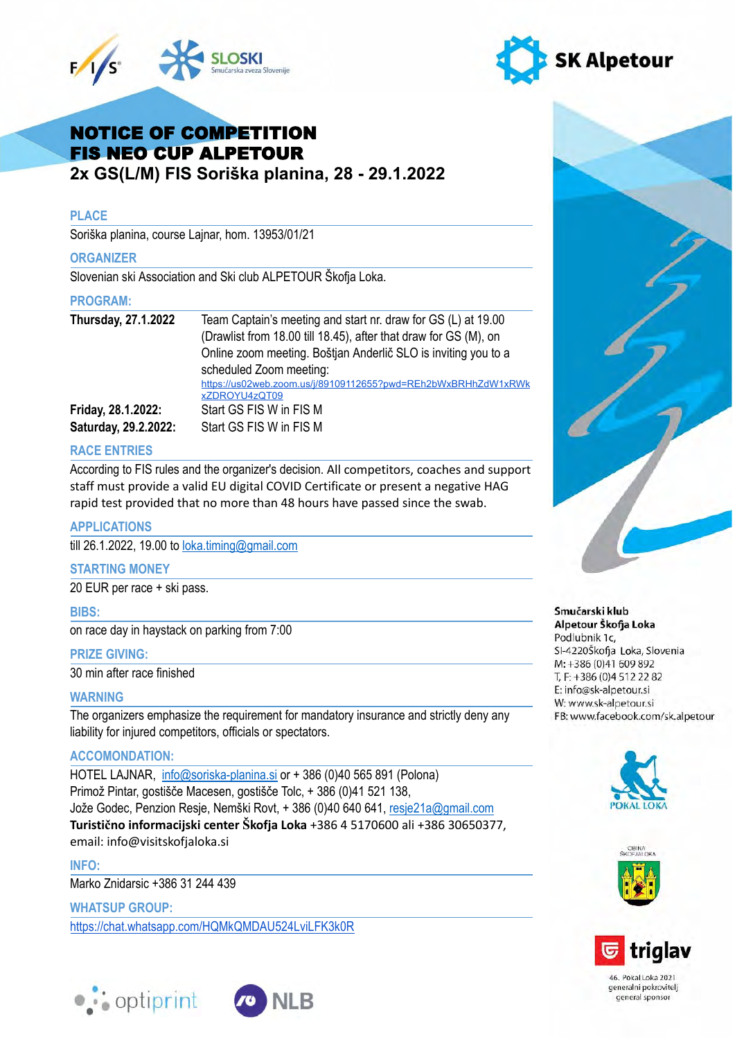



# NOTICE OF COMPETITION FIS NEO CUP ALPETOUR  **2x GS(L/M) FIS Soriška planina, 28 - 29.1.2022**

## **PLACE**

Soriška planina, course Lajnar, hom. 13953/01/21

### **ORGANIZER**

Slovenian ski Association and Ski club ALPETOUR Škofja Loka.

### **PROGRAM:**

| Thursday, 27.1.2022  | Team Captain's meeting and start nr. draw for GS (L) at 19.00    |
|----------------------|------------------------------------------------------------------|
|                      | (Drawlist from 18.00 till 18.45), after that draw for GS (M), on |
|                      | Online zoom meeting. Boštjan Anderlič SLO is inviting you to a   |
|                      | scheduled Zoom meeting:                                          |
|                      | https://us02web.zoom.us/j/89109112655?pwd=REh2bWxBRHhZdW1xRWk    |
|                      | xZDROYU4zQT09                                                    |
| Friday, 28.1.2022:   | Start GS FIS W in FIS M                                          |
| Saturday, 29.2.2022: | Start GS FIS W in FIS M                                          |

## **RACE ENTRIES**

 According to FIS rules and the organizer's decision. All competitors, coaches and support staff must provide a valid EU digital COVID Certificate or present a negative HAG rapid test provided that no more than 48 hours have passed since the swab.

## **APPLICATIONS**

till 26.1.2022, 19.00 to [loka.timing@gmail.com](mailto:loka.timing@gmail.com) 

#### **STARTING MONEY**

20 EUR per race + ski pass.

 **BIBS:** 

on race day in haystack on parking from 7:00

## **PRIZE GIVING:**

30 min after race finished

## **WARNING**

 The organizers emphasize the requirement for mandatory insurance and strictly deny any liability for injured competitors, officials or spectators.

## **ACCOMONDATION:**

 HOTEL LAJNAR, [info@soriska-planina.si](mailto:info@soriska-planina.si) or + 386 (0)40 565 891 (Polona) Primož Pintar, gostišče Macesen, gostišče Tolc, + 386 (0)41 521 138, Jože Godec, Penzion Resje, Nemški Rovt, + 386 (0)40 640 641, [resje21a@gmail.com](mailto:resje21a@gmail.com)   **Turistično informacijski center Škofja Loka** +386 4 5170600 ali +386 30650377, email: info@visitskofjaloka.si

 **INFO:** 

Marko Znidarsic +386 31 244 439

 **WHATSUP GROUP:** 

<https://chat.whatsapp.com/HQMkQMDAU524LviLFK3k0R>





#### Smučarski klub Alpetour Škofja Loka Podlubnik 1c,

SI-4220Škofja Loka, Slovenia M: +386 (0)41 609 892 T, F: +386 (0)4 512 22 82 E: info@sk-alpetour.si W: www.sk-alpetour.si FB: www.facebook.com/sk.alpetour







46. Pokal Loka 2021 generalni pokrovitelj general sponsor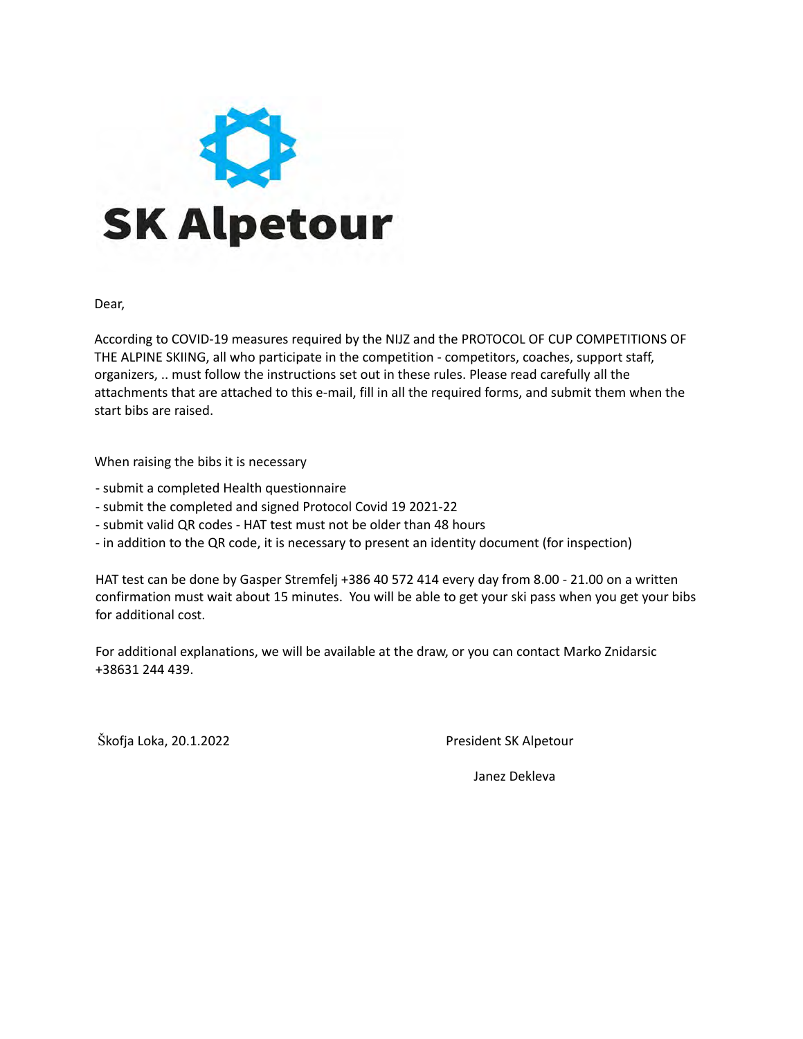

Dear,

 According to COVID-19 measures required by the NIJZ and the PROTOCOL OF CUP COMPETITIONS OF THE ALPINE SKIING, all who participate in the competition - competitors, coaches, support staff, organizers, .. must follow the instructions set out in these rules. Please read carefully all the attachments that are attached to this e-mail, fill in all the required forms, and submit them when the start bibs are raised.

When raising the bibs it is necessary

- submit a completed Health questionnaire
- submit the completed and signed Protocol Covid 19 2021-22
- submit valid QR codes HAT test must not be older than 48 hours
- in addition to the QR code, it is necessary to present an identity document (for inspection)

 HAT test can be done by Gasper Stremfelj +386 40 572 414 every day from 8.00 - 21.00 on a written confirmation must wait about 15 minutes. You will be able to get your ski pass when you get your bibs for additional cost.

 For additional explanations, we will be available at the draw, or you can contact Marko Znidarsic +38631 244 439.

Škofja Loka, 20.1.2022 **President SK Alpetour** 

Janez Dekleva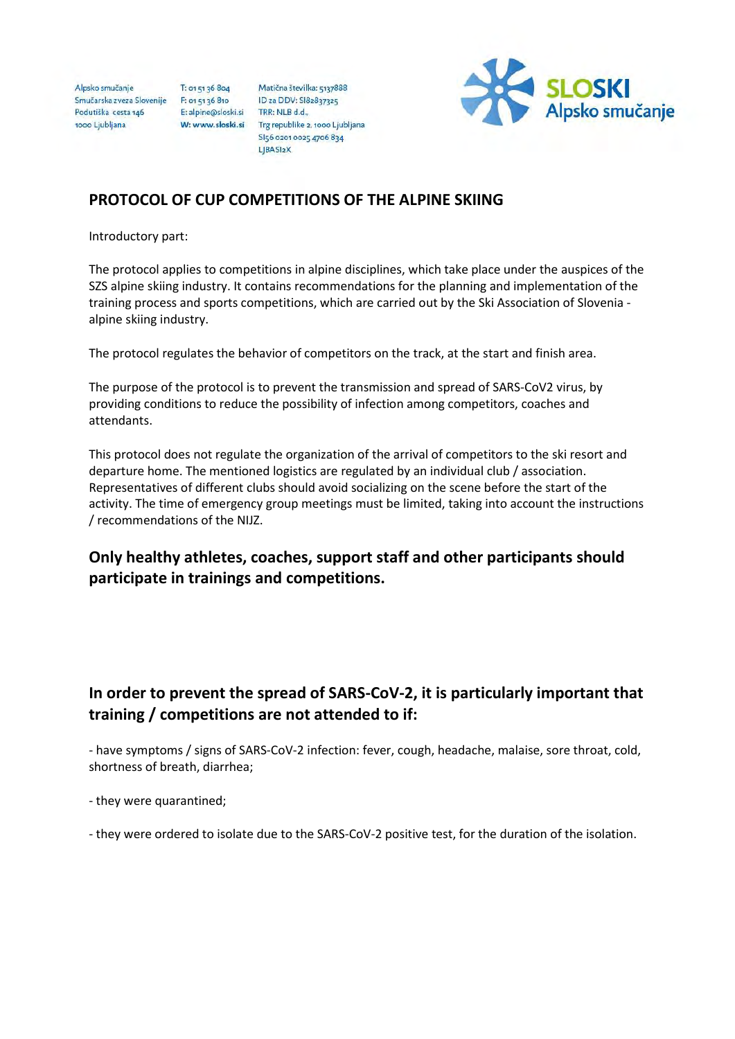Alpsko smučanje Smučarska zveza Slovenije F: 01 51 36 810 Smučarska zveza Slovenije<br>Podutiška cesta 146<br>1000 Liubliana 1000 Ljubljana

T: 01 51 36 804

Matična številka: 5137888 ID za DDV: SI82837325 E: alpine@sloski.si<br>
TRR: NLB d.d.,<br>
W: www.sloski.si Trg republike 2, 1000 Ljubljana SI56 0201 0025 4706 834 LJBASI2X



## PROTOCOL OF CUP COMPETITIONS OF THE ALPINE SKIING

Introductory part:

The protocol applies to competitions in alpine disciplines, which take place under the auspices of the SZS alpine skiing industry. It contains recommendations for the planning and implementation of the training process and sports competitions, which are carried out by the Ski Association of Slovenia alpine skiing industry.

The protocol regulates the behavior of competitors on the track, at the start and finish area.

The purpose of the protocol is to prevent the transmission and spread of SARS-CoV2 virus, by providing conditions to reduce the possibility of infection among competitors, coaches and attendants.

This protocol does not regulate the organization of the arrival of competitors to the ski resort and departure home. The mentioned logistics are regulated by an individual club / association. Representatives of different clubs should avoid socializing on the scene before the start of the activity. The time of emergency group meetings must be limited, taking into account the instructions / recommendations of the NIJZ.

## Only healthy athletes, coaches, support staff and other participants should participate in trainings and competitions.

## In order to prevent the spread of SARS-CoV-2, it is particularly important that training / competitions are not attended to if:

- have symptoms / signs of SARS-CoV-2 infection: fever, cough, headache, malaise, sore throat, cold, shortness of breath, diarrhea;

- they were quarantined;

- they were ordered to isolate due to the SARS-CoV-2 positive test, for the duration of the isolation.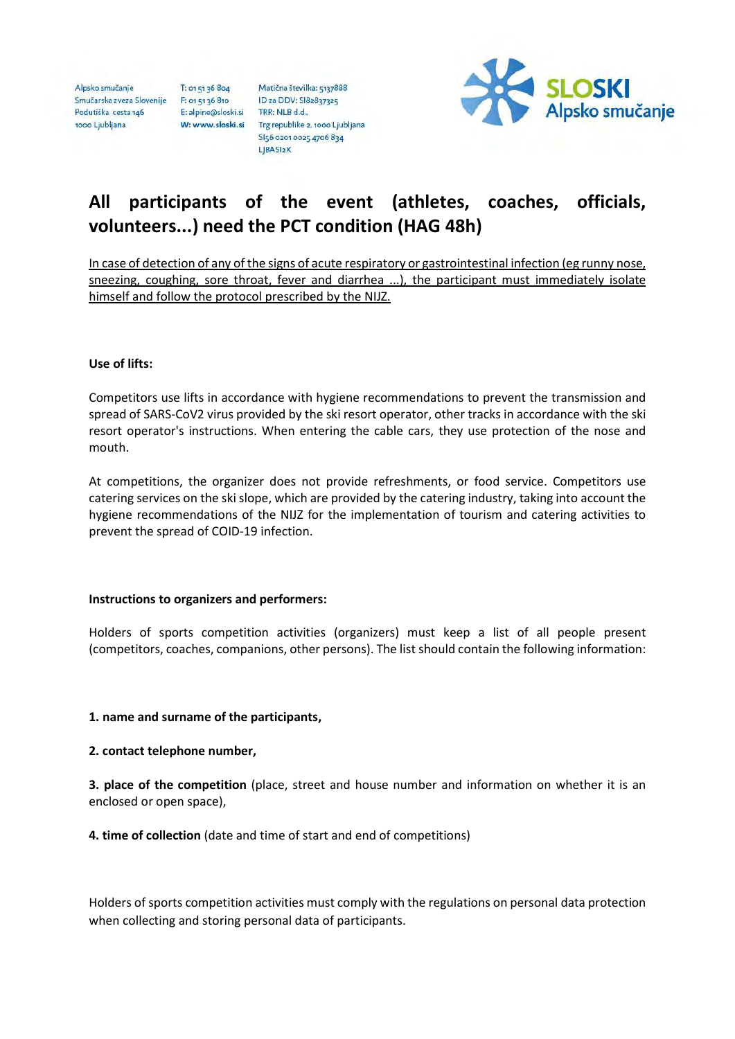Alpsko smučanje Smučarska zveza Slovenije F: 01 51 36 810 Podutiška cesta 146 1000 Ljubljana

T: 01 51 36 804 E: alpine@sloski.si TRR: NLB d.d.,

Matična številka: 5137888 ID za DDV: SI82837325 W: www.sloski.si Trg republike 2, 1000 Ljubljana SI56 0201 0025 4706 834 LJBASI2X



# All participants of the event (athletes, coaches, officials, volunteers...) need the PCT condition (HAG 48h)

In case of detection of any of the signs of acute respiratory or gastrointestinal infection (eg runny nose, sneezing, coughing, sore throat, fever and diarrhea ...), the participant must immediately isolate himself and follow the protocol prescribed by the NIJZ.

## Use of lifts:

Competitors use lifts in accordance with hygiene recommendations to prevent the transmission and spread of SARS-CoV2 virus provided by the ski resort operator, other tracks in accordance with the ski resort operator's instructions. When entering the cable cars, they use protection of the nose and mouth.

At competitions, the organizer does not provide refreshments, or food service. Competitors use catering services on the ski slope, which are provided by the catering industry, taking into account the hygiene recommendations of the NIJZ for the implementation of tourism and catering activities to prevent the spread of COID-19 infection.

## Instructions to organizers and performers:

Holders of sports competition activities (organizers) must keep a list of all people present (competitors, coaches, companions, other persons). The list should contain the following information:

## 1. name and surname of the participants,

## 2. contact telephone number,

**3. place of the competition** (place, street and house number and information on whether it is an enclosed or open space),

4. time of collection (date and time of start and end of competitions)

Holders of sports competition activities must comply with the regulations on personal data protection when collecting and storing personal data of participants.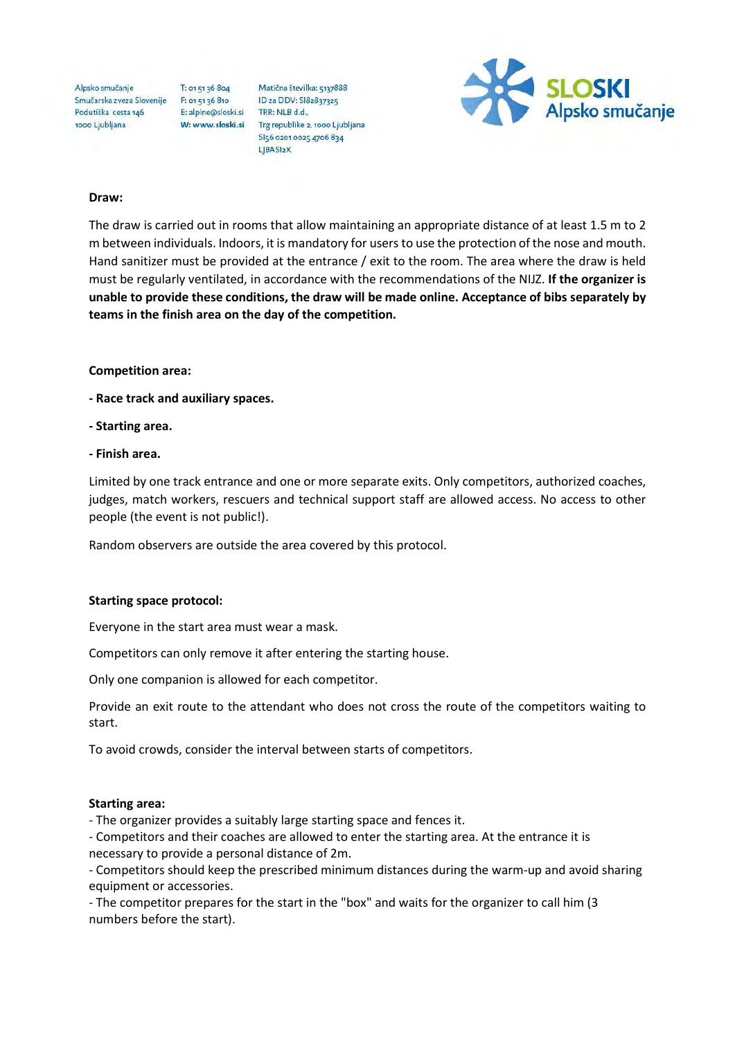Alpsko smučanje Smučarska zveza Slovenije F: 01 51 36 810 Podutiška cesta 146 1000 Ljubljana

T: 01 51 36 804 E: alpine@sloski.si TRR: NLB d.d.,

Matična številka: 5137888 ID za DDV: SI82837325 W: www.sloski.si Trg republike 2, 1000 Ljubljana SI56 0201 0025 4706 834 LJBASI2X



#### Draw:

The draw is carried out in rooms that allow maintaining an appropriate distance of at least 1.5 m to 2 m between individuals. Indoors, it is mandatory for users to use the protection of the nose and mouth. Hand sanitizer must be provided at the entrance / exit to the room. The area where the draw is held must be regularly ventilated, in accordance with the recommendations of the NIJZ. If the organizer is unable to provide these conditions, the draw will be made online. Acceptance of bibs separately by teams in the finish area on the day of the competition.

### Competition area:

- Race track and auxiliary spaces.
- Starting area.
- Finish area.

Limited by one track entrance and one or more separate exits. Only competitors, authorized coaches, judges, match workers, rescuers and technical support staff are allowed access. No access to other people (the event is not public!).

Random observers are outside the area covered by this protocol.

#### Starting space protocol:

Everyone in the start area must wear a mask.

Competitors can only remove it after entering the starting house.

Only one companion is allowed for each competitor.

Provide an exit route to the attendant who does not cross the route of the competitors waiting to start.

To avoid crowds, consider the interval between starts of competitors.

#### Starting area:

- The organizer provides a suitably large starting space and fences it.

- Competitors and their coaches are allowed to enter the starting area. At the entrance it is necessary to provide a personal distance of 2m.

- Competitors should keep the prescribed minimum distances during the warm-up and avoid sharing equipment or accessories.

- The competitor prepares for the start in the "box" and waits for the organizer to call him (3 numbers before the start).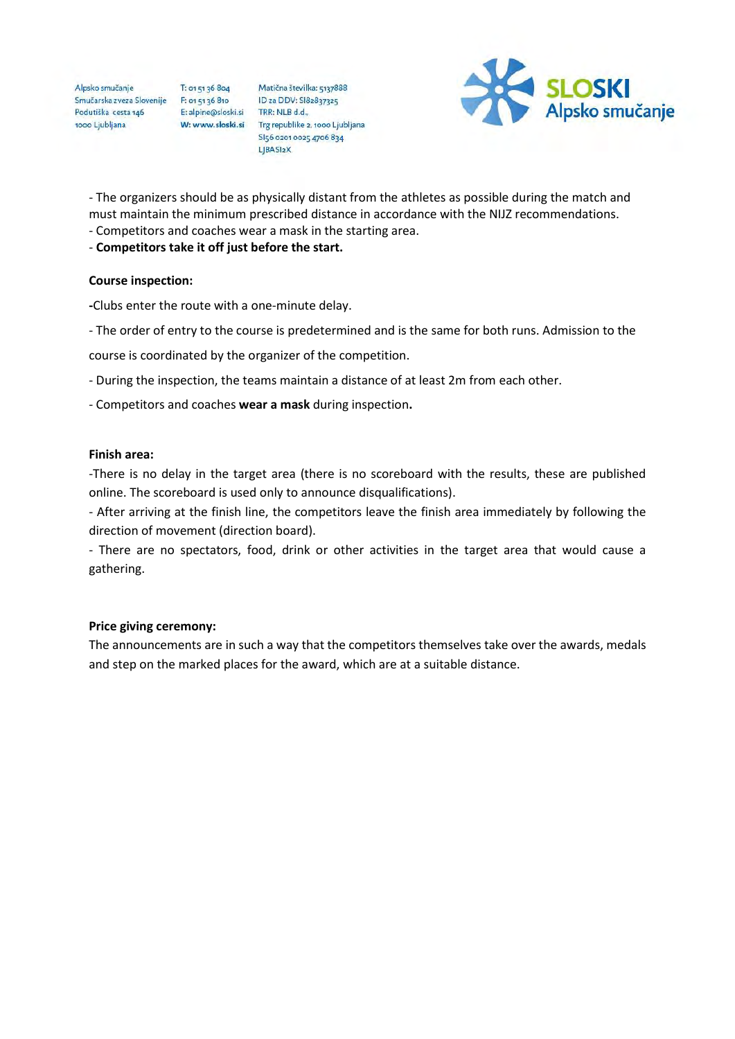Alpsko smučanje Smučarska zveza Slovenije F: 01 51 36 810 Smučarska zveza Slovenije<br>Podutiška cesta 146<br>1000 Liubliana 1000 Ljubljana

T: 01 51 36 804

Matična številka: 5137888 ID za DDV: SI82837325 E: alpine@sloski.si<br>
TRR: NLB d.d.,<br>
W: www.sloski.si Trg republike 2, 1000 Ljubljana SI56 0201 0025 4706 834 LJBASI2X



- The organizers should be as physically distant from the athletes as possible during the match and must maintain the minimum prescribed distance in accordance with the NIJZ recommendations.

- Competitors and coaches wear a mask in the starting area.
- Competitors take it off just before the start.

### Course inspection:

-Clubs enter the route with a one-minute delay.

- The order of entry to the course is predetermined and is the same for both runs. Admission to the

course is coordinated by the organizer of the competition.

- During the inspection, the teams maintain a distance of at least 2m from each other.
- Competitors and coaches wear a mask during inspection.

### Finish area:

-There is no delay in the target area (there is no scoreboard with the results, these are published online. The scoreboard is used only to announce disqualifications).

- After arriving at the finish line, the competitors leave the finish area immediately by following the direction of movement (direction board).

- There are no spectators, food, drink or other activities in the target area that would cause a gathering.

## Price giving ceremony:

The announcements are in such a way that the competitors themselves take over the awards, medals and step on the marked places for the award, which are at a suitable distance.